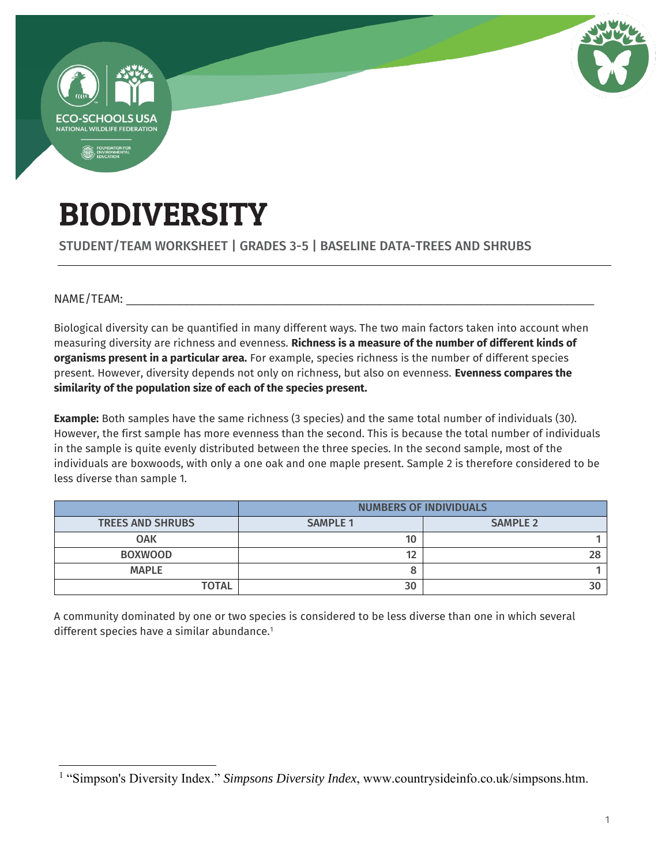

# BIODIVERSITY

STUDENT/TEAM WORKSHEET | GRADES 3-5 | BASELINE DATA-TREES AND SHRUBS

 $NAME/TEAM:$ 

Biological diversity can be quantified in many different ways. The two main factors taken into account when measuring diversity are richness and evenness. **Richness is a measure of the number of different kinds of organisms present in a particular area.** For example, species richness is the number of different species present. However, diversity depends not only on richness, but also on evenness. **Evenness compares the similarity of the population size of each of the species present.**

**Example:** Both samples have the same richness (3 species) and the same total number of individuals (30). However, the first sample has more evenness than the second. This is because the total number of individuals in the sample is quite evenly distributed between the three species. In the second sample, most of the individuals are boxwoods, with only a one oak and one maple present. Sample 2 is therefore considered to be less diverse than sample 1.

|                         | <b>NUMBERS OF INDIVIDUALS</b> |                 |  |
|-------------------------|-------------------------------|-----------------|--|
| <b>TREES AND SHRUBS</b> | <b>SAMPLE 1</b>               | <b>SAMPLE 2</b> |  |
| <b>OAK</b>              | 10                            |                 |  |
| <b>BOXWOOD</b>          | 12                            | 28              |  |
| <b>MAPLE</b>            |                               |                 |  |
| <b>TOTAL</b>            | 30                            |                 |  |

A community dominated by one or two species is considered to be less diverse than one in which several different species have a similar abundance.<sup>1</sup>

 $\overline{a}$ <sup>1</sup> "Simpson's Diversity Index." *Simpsons Diversity Index*, www.countrysideinfo.co.uk/simpsons.htm.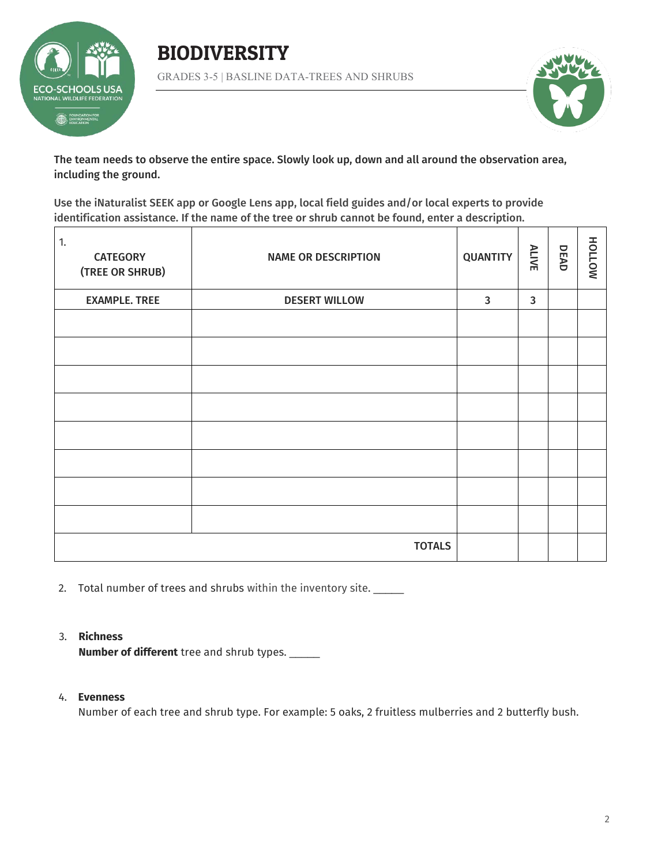





The team needs to observe the entire space. Slowly look up, down and all around the observation area, including the ground.

Use the iNaturalist SEEK app or Google Lens app, local field guides and/or local experts to provide identification assistance. If the name of the tree or shrub cannot be found, enter a description.

| 1.<br><b>CATEGORY</b><br>(TREE OR SHRUB) | <b>NAME OR DESCRIPTION</b> | <b>QUANTITY</b> | <b>ALIVE</b> | DEAD | HOLLOW |
|------------------------------------------|----------------------------|-----------------|--------------|------|--------|
| <b>EXAMPLE. TREE</b>                     | <b>DESERT WILLOW</b>       | $\mathbf{3}$    | $\mathbf{3}$ |      |        |
|                                          |                            |                 |              |      |        |
|                                          |                            |                 |              |      |        |
|                                          |                            |                 |              |      |        |
|                                          |                            |                 |              |      |        |
|                                          |                            |                 |              |      |        |
|                                          |                            |                 |              |      |        |
|                                          |                            |                 |              |      |        |
|                                          |                            |                 |              |      |        |
| <b>TOTALS</b>                            |                            |                 |              |      |        |

2. Total number of trees and shrubs within the inventory site.

#### 3. **Richness**

**Number of different** tree and shrub types. \_\_\_\_\_

#### 4. **Evenness**

Number of each tree and shrub type. For example: 5 oaks, 2 fruitless mulberries and 2 butterfly bush.